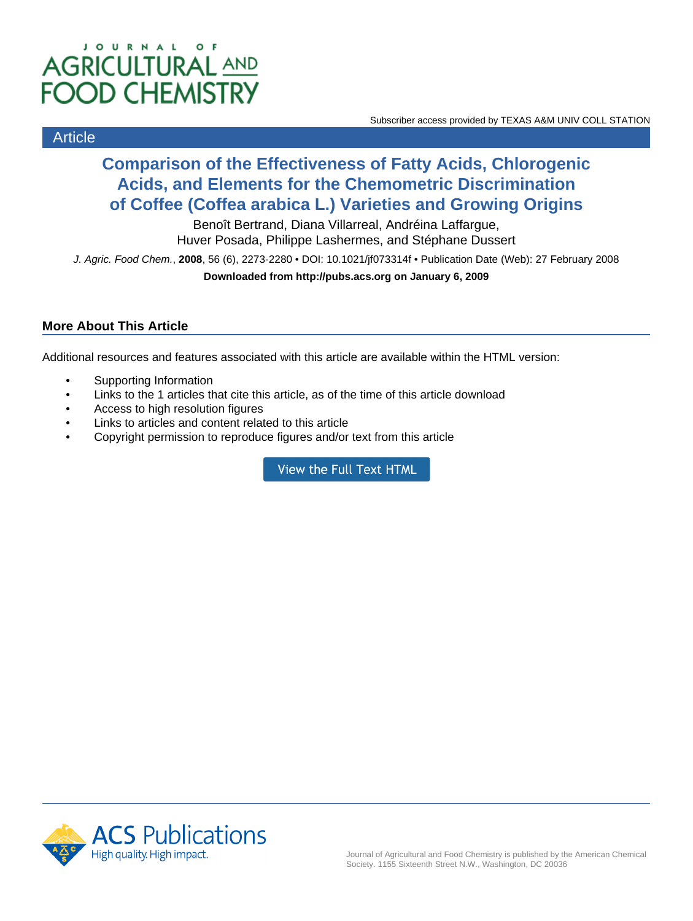# JOURNAL OF **AGRICULTURAL AND FOOD CHEMISTRY**

## Article

### Subscriber access provided by TEXAS A&M UNIV COLL STATION

## **Comparison of the Effectiveness of Fatty Acids, Chlorogenic Acids, and Elements for the Chemometric Discrimination of Coffee (Coffea arabica L.) Varieties and Growing Origins**

Benoît Bertrand, Diana Villarreal, Andréina Laffargue, Huver Posada, Philippe Lashermes, and Stéphane Dussert

J. Agric. Food Chem., **2008**, 56 (6), 2273-2280 • DOI: 10.1021/jf073314f • Publication Date (Web): 27 February 2008

### **Downloaded from http://pubs.acs.org on January 6, 2009**

### **More About This Article**

Additional resources and features associated with this article are available within the HTML version:

- Supporting Information
- Links to the 1 articles that cite this article, as of the time of this article download
- Access to high resolution figures
- Links to articles and content related to this article
- Copyright permission to reproduce figures and/or text from this article

**View the Full Text HTML** 

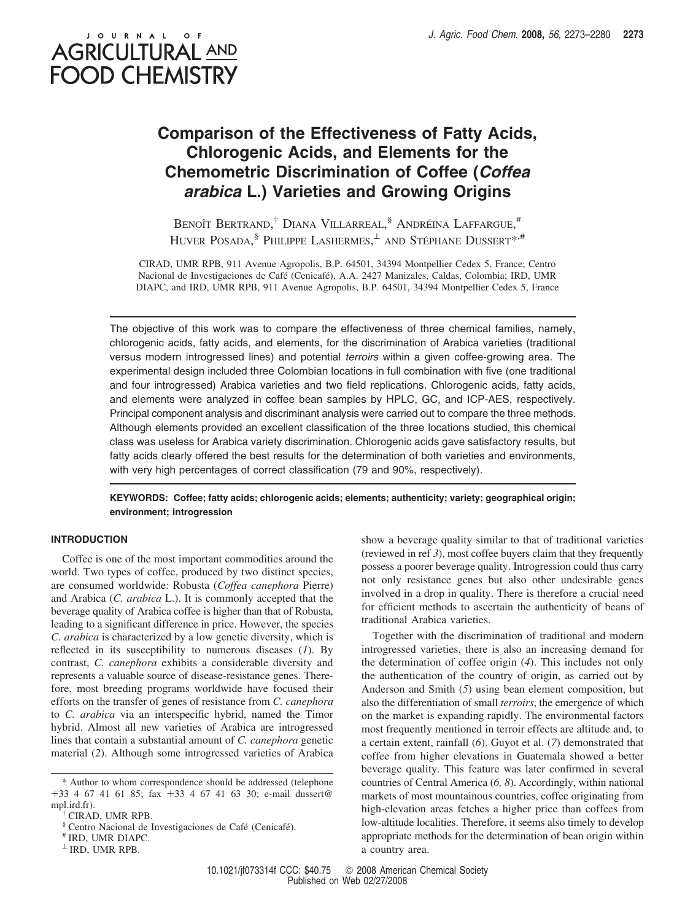## JOURNAL OF **AGRICULTURAL AND FOOD CHEMISTRY**

## **Comparison of the Effectiveness of Fatty Acids, Chlorogenic Acids, and Elements for the Chemometric Discrimination of Coffee (***Coffea arabica* **L.) Varieties and Growing Origins**

Benoît Bertrand,<sup>†</sup> Diana Villarreal,<sup>§</sup> Andréina Laffargue,# HUVER POSADA, <sup>§</sup> PHILIPPE LASHERMES, ⊥AND STÉPHANE DUSSERT<sup>\*,#</sup>

CIRAD, UMR RPB, 911 Avenue Agropolis, B.P. 64501, 34394 Montpellier Cedex 5, France; Centro Nacional de Investigaciones de Café (Cenicafé), A.A. 2427 Manizales, Caldas, Colombia; IRD, UMR DIAPC, and IRD, UMR RPB, 911 Avenue Agropolis, B.P. 64501, 34394 Montpellier Cedex 5, France

The objective of this work was to compare the effectiveness of three chemical families, namely, chlorogenic acids, fatty acids, and elements, for the discrimination of Arabica varieties (traditional versus modern introgressed lines) and potential *terroirs* within a given coffee-growing area. The experimental design included three Colombian locations in full combination with five (one traditional and four introgressed) Arabica varieties and two field replications. Chlorogenic acids, fatty acids, and elements were analyzed in coffee bean samples by HPLC, GC, and ICP-AES, respectively. Principal component analysis and discriminant analysis were carried out to compare the three methods. Although elements provided an excellent classification of the three locations studied, this chemical class was useless for Arabica variety discrimination. Chlorogenic acids gave satisfactory results, but fatty acids clearly offered the best results for the determination of both varieties and environments, with very high percentages of correct classification (79 and 90%, respectively).

**KEYWORDS: Coffee; fatty acids; chlorogenic acids; elements; authenticity; variety; geographical origin; environment; introgression**

### **INTRODUCTION**

Coffee is one of the most important commodities around the world. Two types of coffee, produced by two distinct species, are consumed worldwide: Robusta (*Coffea canephora* Pierre) and Arabica (*C. arabica* L.). It is commonly accepted that the beverage quality of Arabica coffee is higher than that of Robusta, leading to a significant difference in price. However, the species *C. arabica* is characterized by a low genetic diversity, which is reflected in its susceptibility to numerous diseases (*1*). By contrast, *C. canephora* exhibits a considerable diversity and represents a valuable source of disease-resistance genes. Therefore, most breeding programs worldwide have focused their efforts on the transfer of genes of resistance from *C. canephora* to *C. arabica* via an interspecific hybrid, named the Timor hybrid. Almost all new varieties of Arabica are introgressed lines that contain a substantial amount of *C. canephora* genetic material (*2*). Although some introgressed varieties of Arabica show a beverage quality similar to that of traditional varieties (reviewed in ref *3*), most coffee buyers claim that they frequently possess a poorer beverage quality. Introgression could thus carry not only resistance genes but also other undesirable genes involved in a drop in quality. There is therefore a crucial need for efficient methods to ascertain the authenticity of beans of traditional Arabica varieties.

Together with the discrimination of traditional and modern introgressed varieties, there is also an increasing demand for the determination of coffee origin (*4*). This includes not only the authentication of the country of origin, as carried out by Anderson and Smith (*5*) using bean element composition, but also the differentiation of small *terroirs*, the emergence of which on the market is expanding rapidly. The environmental factors most frequently mentioned in terroir effects are altitude and, to a certain extent, rainfall (*6*). Guyot et al. (*7*) demonstrated that coffee from higher elevations in Guatemala showed a better beverage quality. This feature was later confirmed in several countries of Central America (*6, 8*). Accordingly, within national markets of most mountainous countries, coffee originating from high-elevation areas fetches a higher price than coffees from low-altitude localities. Therefore, it seems also timely to develop appropriate methods for the determination of bean origin within a country area.

10.1021/jf073314f CCC: \$40.75 2008 American Chemical Society Published on Web 02/27/2008

<sup>\*</sup> Author to whom correspondence should be addressed (telephone +33 4 67 41 61 85; fax +33 4 67 41 63 30; e-mail dussert@ mpl.ird.fr).

<sup>†</sup> CIRAD, UMR RPB.

<sup>§</sup> Centro Nacional de Investigaciones de Café (Cenicafé).

<sup>#</sup> IRD, UMR DIAPC.

 $^\perp$  IRD, UMR RPB.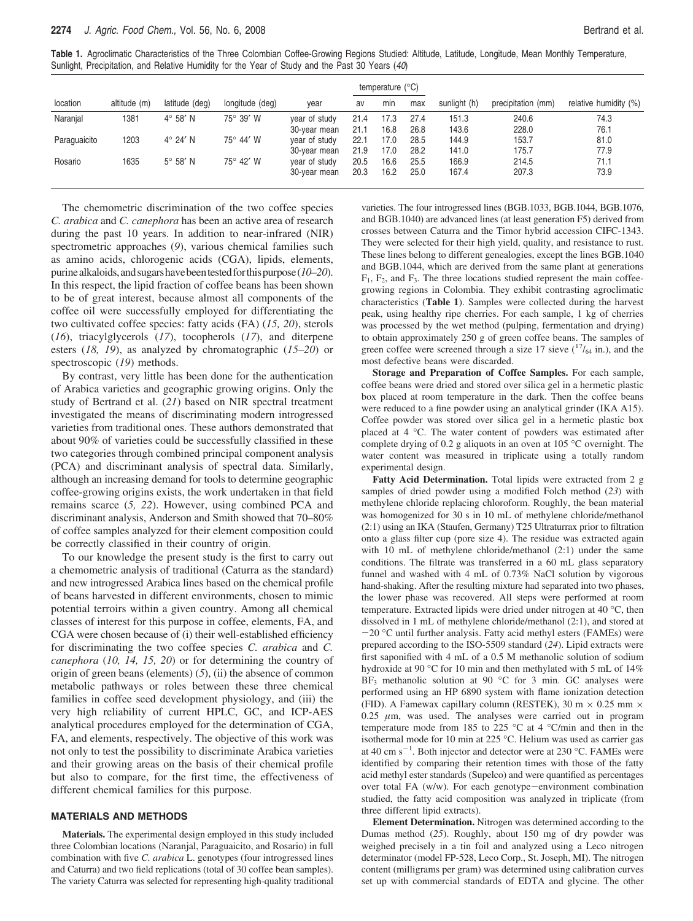|              |              |                         |                 |               |      | temperature $(^{\circ}C)$ |      |              |                    |                       |
|--------------|--------------|-------------------------|-----------------|---------------|------|---------------------------|------|--------------|--------------------|-----------------------|
| location     | altitude (m) | latitude (deg)          | longitude (deg) | year          | av   | min                       | max  | sunlight (h) | precipitation (mm) | relative humidity (%) |
| Naranjal     | 1381         | $4^\circ$ 58' N         | 75° 39' W       | year of study | 21.4 | 17.3                      | 27.4 | 151.3        | 240.6              | 74.3                  |
|              |              |                         |                 | 30-year mean  | 21.1 | 16.8                      | 26.8 | 143.6        | 228.0              | 76.1                  |
| Paraguaicito | 1203         | $4^\circ$ 24' N         | 75° 44' W       | year of study | 22.1 | 17.0                      | 28.5 | 144.9        | 153.7              | 81.0                  |
|              |              |                         |                 | 30-year mean  | 21.9 | 17.0                      | 28.2 | 141.0        | 175.7              | 77.9                  |
| Rosario      | 1635         | $5^\circ$ 58 $\prime$ N | 75° 42′ W       | year of study | 20.5 | 16.6                      | 25.5 | 166.9        | 214.5              | 71.1                  |
|              |              |                         |                 | 30-year mean  | 20.3 | 16.2                      | 25.0 | 167.4        | 207.3              | 73.9                  |

The chemometric discrimination of the two coffee species *C. arabica* and *C. canephora* has been an active area of research during the past 10 years. In addition to near-infrared (NIR) spectrometric approaches (*9*), various chemical families such as amino acids, chlorogenic acids (CGA), lipids, elements, purinealkaloids,andsugarshavebeentestedforthispurpose(*10–20*). In this respect, the lipid fraction of coffee beans has been shown to be of great interest, because almost all components of the coffee oil were successfully employed for differentiating the two cultivated coffee species: fatty acids (FA) (*15, 20*), sterols (*16*), triacylglycerols (*17*), tocopherols (*17*), and diterpene esters (*18, 19*), as analyzed by chromatographic (*15–20*) or spectroscopic (*19*) methods.

By contrast, very little has been done for the authentication of Arabica varieties and geographic growing origins. Only the study of Bertrand et al. (*21*) based on NIR spectral treatment investigated the means of discriminating modern introgressed varieties from traditional ones. These authors demonstrated that about 90% of varieties could be successfully classified in these two categories through combined principal component analysis (PCA) and discriminant analysis of spectral data. Similarly, although an increasing demand for tools to determine geographic coffee-growing origins exists, the work undertaken in that field remains scarce (*5, 22*). However, using combined PCA and discriminant analysis, Anderson and Smith showed that 70–80% of coffee samples analyzed for their element composition could be correctly classified in their country of origin.

To our knowledge the present study is the first to carry out a chemometric analysis of traditional (Caturra as the standard) and new introgressed Arabica lines based on the chemical profile of beans harvested in different environments, chosen to mimic potential terroirs within a given country. Among all chemical classes of interest for this purpose in coffee, elements, FA, and CGA were chosen because of (i) their well-established efficiency for discriminating the two coffee species *C. arabica* and *C. canephora* (*10, 14, 15, 20*) or for determining the country of origin of green beans (elements) (*5*), (ii) the absence of common metabolic pathways or roles between these three chemical families in coffee seed development physiology, and (iii) the very high reliability of current HPLC, GC, and ICP-AES analytical procedures employed for the determination of CGA, FA, and elements, respectively. The objective of this work was not only to test the possibility to discriminate Arabica varieties and their growing areas on the basis of their chemical profile but also to compare, for the first time, the effectiveness of different chemical families for this purpose.

#### **MATERIALS AND METHODS**

**Materials.** The experimental design employed in this study included three Colombian locations (Naranjal, Paraguaicito, and Rosario) in full combination with five *C. arabica* L. genotypes (four introgressed lines and Caturra) and two field replications (total of 30 coffee bean samples). The variety Caturra was selected for representing high-quality traditional

varieties. The four introgressed lines (BGB.1033, BGB.1044, BGB.1076, and BGB.1040) are advanced lines (at least generation F5) derived from crosses between Caturra and the Timor hybrid accession CIFC-1343. They were selected for their high yield, quality, and resistance to rust. These lines belong to different genealogies, except the lines BGB.1040 and BGB.1044, which are derived from the same plant at generations F1, F2, and F3. The three locations studied represent the main coffeegrowing regions in Colombia. They exhibit contrasting agroclimatic characteristics (**Table 1**). Samples were collected during the harvest peak, using healthy ripe cherries. For each sample, 1 kg of cherries was processed by the wet method (pulping, fermentation and drying) to obtain approximately 250 g of green coffee beans. The samples of green coffee were screened through a size 17 sieve  $(^{17}/_{64}$  in.), and the most defective beans were discarded.

**Storage and Preparation of Coffee Samples.** For each sample, coffee beans were dried and stored over silica gel in a hermetic plastic box placed at room temperature in the dark. Then the coffee beans were reduced to a fine powder using an analytical grinder (IKA A15). Coffee powder was stored over silica gel in a hermetic plastic box placed at 4 °C. The water content of powders was estimated after complete drying of 0.2 g aliquots in an oven at 105 °C overnight. The water content was measured in triplicate using a totally random experimental design.

**Fatty Acid Determination.** Total lipids were extracted from 2 g samples of dried powder using a modified Folch method (*23*) with methylene chloride replacing chloroform. Roughly, the bean material was homogenized for 30 s in 10 mL of methylene chloride/methanol (2:1) using an IKA (Staufen, Germany) T25 Ultraturrax prior to filtration onto a glass filter cup (pore size 4). The residue was extracted again with 10 mL of methylene chloride/methanol  $(2:1)$  under the same conditions. The filtrate was transferred in a 60 mL glass separatory funnel and washed with 4 mL of 0.73% NaCl solution by vigorous hand-shaking. After the resulting mixture had separated into two phases, the lower phase was recovered. All steps were performed at room temperature. Extracted lipids were dried under nitrogen at 40 °C, then dissolved in 1 mL of methylene chloride/methanol (2:1), and stored at  $-20$  °C until further analysis. Fatty acid methyl esters (FAMEs) were prepared according to the ISO-5509 standard (*24*). Lipid extracts were first saponified with 4 mL of a 0.5 M methanolic solution of sodium hydroxide at 90 °C for 10 min and then methylated with 5 mL of 14%  $BF_3$  methanolic solution at 90 °C for 3 min. GC analyses were performed using an HP 6890 system with flame ionization detection (FID). A Famewax capillary column (RESTEK), 30 m  $\times$  0.25 mm  $\times$  $0.25 \mu m$ , was used. The analyses were carried out in program temperature mode from 185 to 225 °C at 4 °C/min and then in the isothermal mode for 10 min at 225 °C. Helium was used as carrier gas at 40 cm  $s^{-1}$ . Both injector and detector were at 230 °C. FAMEs were identified by comparing their retention times with those of the fatty acid methyl ester standards (Supelco) and were quantified as percentages over total FA (w/w). For each genotype-environment combination studied, the fatty acid composition was analyzed in triplicate (from three different lipid extracts).

**Element Determination.** Nitrogen was determined according to the Dumas method (*25*). Roughly, about 150 mg of dry powder was weighed precisely in a tin foil and analyzed using a Leco nitrogen determinator (model FP-528, Leco Corp., St. Joseph, MI). The nitrogen content (milligrams per gram) was determined using calibration curves set up with commercial standards of EDTA and glycine. The other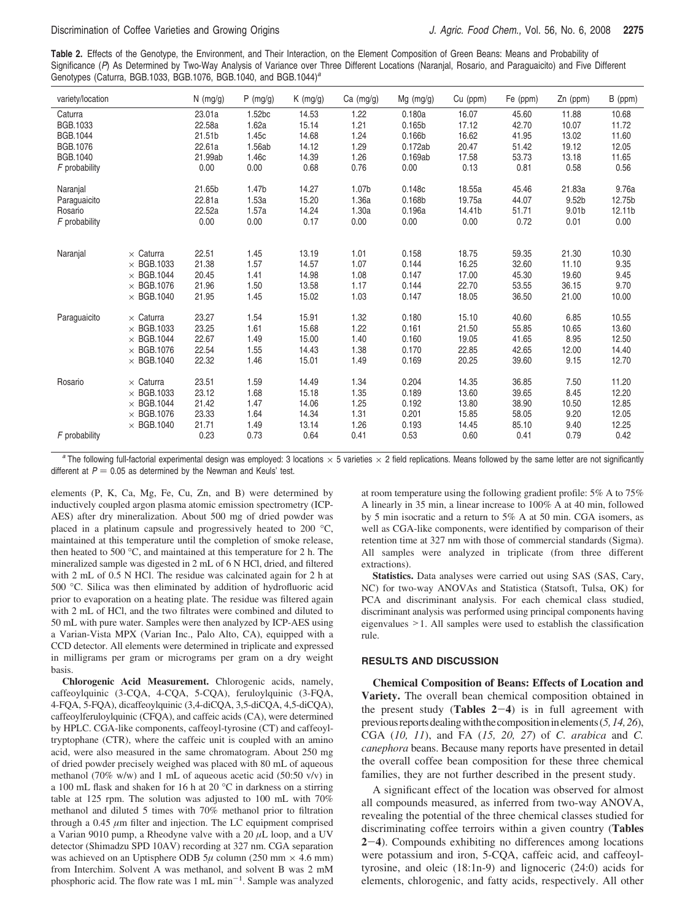Discrimination of Coffee Varieties and Growing Origins *J. Agric. Food Chem.,* Vol. 56, No. 6, 2008 **2275**

**Table 2.** Effects of the Genotype, the Environment, and Their Interaction, on the Element Composition of Green Beans: Means and Probability of Significance (P) As Determined by Two-Way Analysis of Variance over Three Different Locations (Naranjal, Rosario, and Paraguaicito) and Five Different Genotypes (Caturra, BGB.1033, BGB.1076, BGB.1040, and BGB.1044)*<sup>a</sup>*

| variety/location         |                                                                                                      | $N$ (mg/g)                                        | $P$ (mg/g)                                   | $K$ (mg/g)                                        | Ca (mg/g)                                    | Mg (mg/g)                                         | Cu (ppm)                                          | Fe (ppm)                                          | Zn (ppm)                                      | B (ppm)                                           |
|--------------------------|------------------------------------------------------------------------------------------------------|---------------------------------------------------|----------------------------------------------|---------------------------------------------------|----------------------------------------------|---------------------------------------------------|---------------------------------------------------|---------------------------------------------------|-----------------------------------------------|---------------------------------------------------|
| Caturra                  |                                                                                                      | 23.01a                                            | 1.52bc                                       | 14.53                                             | 1.22                                         | 0.180a                                            | 16.07                                             | 45.60                                             | 11.88                                         | 10.68                                             |
| BGB.1033                 |                                                                                                      | 22.58a                                            | 1.62a                                        | 15.14                                             | 1.21                                         | 0.165 <sub>b</sub>                                | 17.12                                             | 42.70                                             | 10.07                                         | 11.72                                             |
| <b>BGB.1044</b>          |                                                                                                      | 21.51b                                            | 1.45c                                        | 14.68                                             | 1.24                                         | 0.166 <sub>b</sub>                                | 16.62                                             | 41.95                                             | 13.02                                         | 11.60                                             |
| BGB.1076                 |                                                                                                      | 22.61a                                            | 1.56ab                                       | 14.12                                             | 1.29                                         | 0.172ab                                           | 20.47                                             | 51.42                                             | 19.12                                         | 12.05                                             |
| BGB.1040                 |                                                                                                      | 21.99ab                                           | 1.46c                                        | 14.39                                             | 1.26                                         | 0.169ab                                           | 17.58                                             | 53.73                                             | 13.18                                         | 11.65                                             |
| F probability            |                                                                                                      | 0.00                                              | 0.00                                         | 0.68                                              | 0.76                                         | 0.00                                              | 0.13                                              | 0.81                                              | 0.58                                          | 0.56                                              |
| Naranjal                 |                                                                                                      | 21.65b                                            | 1.47b                                        | 14.27                                             | 1.07b                                        | 0.148c                                            | 18.55a                                            | 45.46                                             | 21.83a                                        | 9.76a                                             |
| Paraguaicito             |                                                                                                      | 22.81a                                            | 1.53a                                        | 15.20                                             | 1.36a                                        | 0.168 <sub>b</sub>                                | 19.75a                                            | 44.07                                             | 9.52 <sub>b</sub>                             | 12.75b                                            |
| Rosario                  |                                                                                                      | 22.52a                                            | 1.57a                                        | 14.24                                             | 1.30a                                        | 0.196a                                            | 14.41b                                            | 51.71                                             | 9.01b                                         | 12.11b                                            |
| F probability            |                                                                                                      | 0.00                                              | 0.00                                         | 0.17                                              | 0.00                                         | 0.00                                              | 0.00                                              | 0.72                                              | 0.01                                          | 0.00                                              |
| Naranjal                 | $\times$ Caturra                                                                                     | 22.51                                             | 1.45                                         | 13.19                                             | 1.01                                         | 0.158                                             | 18.75                                             | 59.35                                             | 21.30                                         | 10.30                                             |
|                          | $\times$ BGB.1033                                                                                    | 21.38                                             | 1.57                                         | 14.57                                             | 1.07                                         | 0.144                                             | 16.25                                             | 32.60                                             | 11.10                                         | 9.35                                              |
|                          | $\times$ BGB.1044                                                                                    | 20.45                                             | 1.41                                         | 14.98                                             | 1.08                                         | 0.147                                             | 17.00                                             | 45.30                                             | 19.60                                         | 9.45                                              |
|                          | $\times$ BGB.1076                                                                                    | 21.96                                             | 1.50                                         | 13.58                                             | 1.17                                         | 0.144                                             | 22.70                                             | 53.55                                             | 36.15                                         | 9.70                                              |
|                          | $\times$ BGB.1040                                                                                    | 21.95                                             | 1.45                                         | 15.02                                             | 1.03                                         | 0.147                                             | 18.05                                             | 36.50                                             | 21.00                                         | 10.00                                             |
| Paraguaicito             | $\times$ Caturra                                                                                     | 23.27                                             | 1.54                                         | 15.91                                             | 1.32                                         | 0.180                                             | 15.10                                             | 40.60                                             | 6.85                                          | 10.55                                             |
|                          | $\times$ BGB.1033                                                                                    | 23.25                                             | 1.61                                         | 15.68                                             | 1.22                                         | 0.161                                             | 21.50                                             | 55.85                                             | 10.65                                         | 13.60                                             |
|                          | $\times$ BGB.1044                                                                                    | 22.67                                             | 1.49                                         | 15.00                                             | 1.40                                         | 0.160                                             | 19.05                                             | 41.65                                             | 8.95                                          | 12.50                                             |
|                          | $\times$ BGB.1076                                                                                    | 22.54                                             | 1.55                                         | 14.43                                             | 1.38                                         | 0.170                                             | 22.85                                             | 42.65                                             | 12.00                                         | 14.40                                             |
|                          | $\times$ BGB.1040                                                                                    | 22.32                                             | 1.46                                         | 15.01                                             | 1.49                                         | 0.169                                             | 20.25                                             | 39.60                                             | 9.15                                          | 12.70                                             |
| Rosario<br>F probability | $\times$ Caturra<br>$\times$ BGB.1033<br>$\times$ BGB.1044<br>$\times$ BGB.1076<br>$\times$ BGB.1040 | 23.51<br>23.12<br>21.42<br>23.33<br>21.71<br>0.23 | 1.59<br>1.68<br>1.47<br>1.64<br>1.49<br>0.73 | 14.49<br>15.18<br>14.06<br>14.34<br>13.14<br>0.64 | 1.34<br>1.35<br>1.25<br>1.31<br>1.26<br>0.41 | 0.204<br>0.189<br>0.192<br>0.201<br>0.193<br>0.53 | 14.35<br>13.60<br>13.80<br>15.85<br>14.45<br>0.60 | 36.85<br>39.65<br>38.90<br>58.05<br>85.10<br>0.41 | 7.50<br>8.45<br>10.50<br>9.20<br>9.40<br>0.79 | 11.20<br>12.20<br>12.85<br>12.05<br>12.25<br>0.42 |

a The following full-factorial experimental design was employed: 3 locations x 5 varieties x 2 field replications. Means followed by the same letter are not significantly different at  $P = 0.05$  as determined by the Newman and Keuls' test.

elements (P, K, Ca, Mg, Fe, Cu, Zn, and B) were determined by inductively coupled argon plasma atomic emission spectrometry (ICP-AES) after dry mineralization. About 500 mg of dried powder was placed in a platinum capsule and progressively heated to 200 °C, maintained at this temperature until the completion of smoke release, then heated to 500 °C, and maintained at this temperature for 2 h. The mineralized sample was digested in 2 mL of 6 N HCl, dried, and filtered with 2 mL of 0.5 N HCl. The residue was calcinated again for 2 h at 500 °C. Silica was then eliminated by addition of hydrofluoric acid prior to evaporation on a heating plate. The residue was filtered again with 2 mL of HCl, and the two filtrates were combined and diluted to 50 mL with pure water. Samples were then analyzed by ICP-AES using a Varian-Vista MPX (Varian Inc., Palo Alto, CA), equipped with a CCD detector. All elements were determined in triplicate and expressed in milligrams per gram or micrograms per gram on a dry weight basis.

**Chlorogenic Acid Measurement.** Chlorogenic acids, namely, caffeoylquinic (3-CQA, 4-CQA, 5-CQA), feruloylquinic (3-FQA, 4-FQA, 5-FQA), dicaffeoylquinic (3,4-diCQA, 3,5-diCQA, 4,5-diCQA), caffeoylferuloylquinic (CFQA), and caffeic acids (CA), were determined by HPLC. CGA-like components, caffeoyl-tyrosine (CT) and caffeoyltryptophane (CTR), where the caffeic unit is coupled with an amino acid, were also measured in the same chromatogram. About 250 mg of dried powder precisely weighed was placed with 80 mL of aqueous methanol (70% w/w) and 1 mL of aqueous acetic acid (50:50 v/v) in a 100 mL flask and shaken for 16 h at 20 °C in darkness on a stirring table at 125 rpm. The solution was adjusted to 100 mL with 70% methanol and diluted 5 times with 70% methanol prior to filtration through a 0.45 *µ*m filter and injection. The LC equipment comprised a Varian 9010 pump, a Rheodyne valve with a 20 *µ*L loop, and a UV detector (Shimadzu SPD 10AV) recording at 327 nm. CGA separation was achieved on an Uptisphere ODB  $5\mu$  column (250 mm  $\times$  4.6 mm) from Interchim. Solvent A was methanol, and solvent B was 2 mM phosphoric acid. The flow rate was  $1 \text{ mL min}^{-1}$ . Sample was analyzed

at room temperature using the following gradient profile: 5% A to 75% A linearly in 35 min, a linear increase to 100% A at 40 min, followed by 5 min isocratic and a return to 5% A at 50 min. CGA isomers, as well as CGA-like components, were identified by comparison of their retention time at 327 nm with those of commercial standards (Sigma). All samples were analyzed in triplicate (from three different extractions).

**Statistics.** Data analyses were carried out using SAS (SAS, Cary, NC) for two-way ANOVAs and Statistica (Statsoft, Tulsa, OK) for PCA and discriminant analysis. For each chemical class studied, discriminant analysis was performed using principal components having eigenvalues >1. All samples were used to establish the classification rule.

#### **RESULTS AND DISCUSSION**

**Chemical Composition of Beans: Effects of Location and Variety.** The overall bean chemical composition obtained in the present study  $(Tables 2-4)$  is in full agreement with previous reports dealing with the composition in elements (5, 14, 26), CGA (*10, 11*), and FA (*15, 20, 27*) of *C. arabica* and *C. canephora* beans. Because many reports have presented in detail the overall coffee bean composition for these three chemical families, they are not further described in the present study.

A significant effect of the location was observed for almost all compounds measured, as inferred from two-way ANOVA, revealing the potential of the three chemical classes studied for discriminating coffee terroirs within a given country (**Tables <sup>2</sup>**-**4**). Compounds exhibiting no differences among locations were potassium and iron, 5-CQA, caffeic acid, and caffeoyltyrosine, and oleic (18:1n-9) and lignoceric (24:0) acids for elements, chlorogenic, and fatty acids, respectively. All other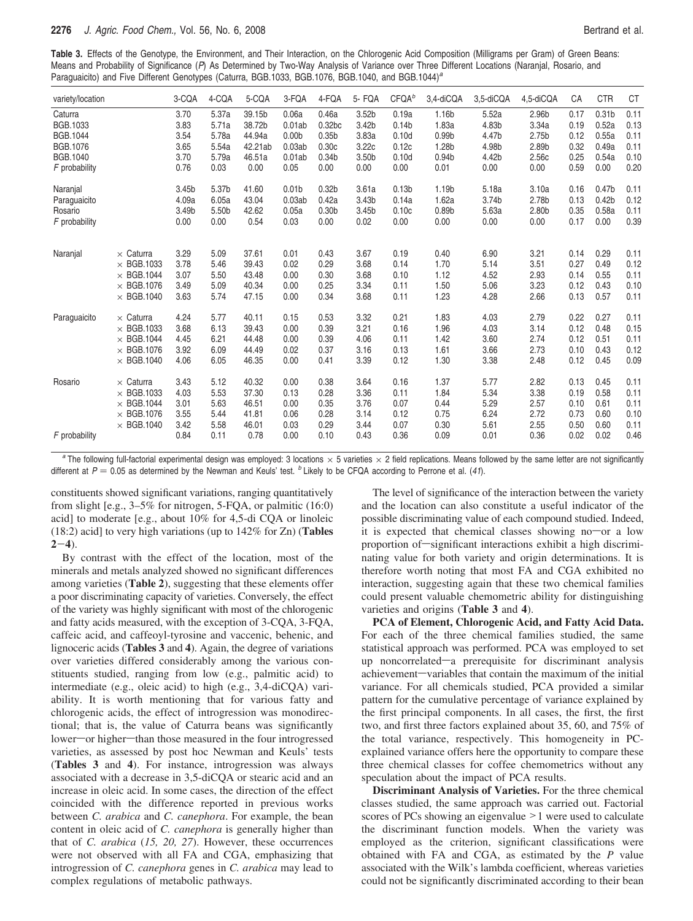**Table 3.** Effects of the Genotype, the Environment, and Their Interaction, on the Chlorogenic Acid Composition (Milligrams per Gram) of Green Beans: Means and Probability of Significance (*P*) As Determined by Two-Way Analysis of Variance over Three Different Locations (Naranjal, Rosario, and Paraguaicito) and Five Different Genotypes (Caturra, BGB.1033, BGB.1076, BGB.1040, and BGB.1044)*<sup>a</sup>*

|                                      |                                      |                                           |                                      |                                      |                                      |                                      |                                      |                                      |                                      |                                      |                                      | <b>CT</b>                                    |
|--------------------------------------|--------------------------------------|-------------------------------------------|--------------------------------------|--------------------------------------|--------------------------------------|--------------------------------------|--------------------------------------|--------------------------------------|--------------------------------------|--------------------------------------|--------------------------------------|----------------------------------------------|
| 3.70                                 | 5.37a                                | 39.15b                                    | 0.06a                                | 0.46a                                | 3.52 <sub>b</sub>                    | 0.19a                                | 1.16b                                | 5.52a                                | 2.96b                                | 0.17                                 | 0.31 <sub>b</sub>                    | 0.11                                         |
| 3.83                                 | 5.71a                                | 38.72b                                    | 0.01ab                               | 0.32 <sub>bc</sub>                   | 3.42b                                | 0.14 <sub>b</sub>                    | 1.83a                                | 4.83b                                | 3.34a                                | 0.19                                 | 0.52a                                | 0.13                                         |
| 3.54                                 | 5.78a                                | 44.94a                                    | 0.00 <sub>b</sub>                    | 0.35 <sub>b</sub>                    | 3.83a                                | 0.10d                                | 0.99b                                | 4.47b                                | 2.75 <sub>b</sub>                    | 0.12                                 | 0.55a                                | 0.11                                         |
| 3.65                                 | 5.54a                                | 42.21ab                                   | 0.03ab                               | 0.30c                                | 3.22c                                | 0.12c                                | 1.28b                                | 4.98b                                | 2.89b                                | 0.32                                 | 0.49a                                | 0.11                                         |
| 3.70                                 | 5.79a                                | 46.51a                                    | 0.01ab                               | 0.34 <sub>b</sub>                    | 3.50b                                | 0.10d                                | 0.94b                                | 4.42b                                | 2.56c                                | 0.25                                 | 0.54a                                | 0.10                                         |
| 0.76                                 | 0.03                                 | 0.00                                      | 0.05                                 | 0.00                                 | 0.00                                 | 0.00                                 | 0.01                                 | 0.00                                 | 0.00                                 | 0.59                                 | 0.00                                 | 0.20                                         |
| 3.45b                                | 5.37b                                | 41.60                                     | 0.01 <sub>b</sub>                    | 0.32 <sub>b</sub>                    | 3.61a                                | 0.13 <sub>b</sub>                    | 1.19b                                | 5.18a                                | 3.10a                                | 0.16                                 | 0.47 <sub>b</sub>                    | 0.11                                         |
| 4.09a                                | 6.05a                                | 43.04                                     | 0.03ab                               | 0.42a                                | 3.43b                                | 0.14a                                | 1.62a                                | 3.74b                                | 2.78b                                | 0.13                                 | 0.42 <sub>b</sub>                    | 0.12                                         |
| 3.49b                                | 5.50b                                | 42.62                                     | 0.05a                                | 0.30 <sub>b</sub>                    | 3.45b                                | 0.10c                                | 0.89b                                | 5.63a                                | 2.80b                                | 0.35                                 | 0.58a                                | 0.11                                         |
| 0.00                                 | 0.00                                 | 0.54                                      | 0.03                                 | 0.00                                 | 0.02                                 | 0.00                                 | 0.00                                 | 0.00                                 | 0.00                                 | 0.17                                 | 0.00                                 | 0.39                                         |
| 3.29                                 | 5.09                                 | 37.61                                     | 0.01                                 | 0.43                                 | 3.67                                 | 0.19                                 | 0.40                                 | 6.90                                 | 3.21                                 | 0.14                                 | 0.29                                 | 0.11                                         |
| 3.78                                 | 5.46                                 | 39.43                                     | 0.02                                 | 0.29                                 | 3.68                                 | 0.14                                 | 1.70                                 | 5.14                                 | 3.51                                 | 0.27                                 | 0.49                                 | 0.12                                         |
| 3.07                                 | 5.50                                 | 43.48                                     | 0.00                                 | 0.30                                 | 3.68                                 | 0.10                                 | 1.12                                 | 4.52                                 | 2.93                                 | 0.14                                 | 0.55                                 | 0.11                                         |
| 3.49                                 | 5.09                                 | 40.34                                     | 0.00                                 | 0.25                                 | 3.34                                 | 0.11                                 | 1.50                                 | 5.06                                 | 3.23                                 | 0.12                                 | 0.43                                 | 0.10                                         |
| 3.63                                 | 5.74                                 | 47.15                                     | 0.00                                 | 0.34                                 | 3.68                                 | 0.11                                 | 1.23                                 | 4.28                                 | 2.66                                 | 0.13                                 | 0.57                                 | 0.11                                         |
| 4.24                                 | 5.77                                 | 40.11                                     | 0.15                                 | 0.53                                 | 3.32                                 | 0.21                                 | 1.83                                 | 4.03                                 | 2.79                                 | 0.22                                 | 0.27                                 | 0.11                                         |
| 3.68                                 | 6.13                                 | 39.43                                     | 0.00                                 | 0.39                                 | 3.21                                 | 0.16                                 | 1.96                                 | 4.03                                 | 3.14                                 | 0.12                                 | 0.48                                 | 0.15                                         |
| 4.45                                 | 6.21                                 | 44.48                                     | 0.00                                 | 0.39                                 | 4.06                                 | 0.11                                 | 1.42                                 | 3.60                                 | 2.74                                 | 0.12                                 | 0.51                                 | 0.11                                         |
| 3.92                                 | 6.09                                 | 44.49                                     | 0.02                                 | 0.37                                 | 3.16                                 | 0.13                                 | 1.61                                 | 3.66                                 | 2.73                                 | 0.10                                 | 0.43                                 | 0.12                                         |
| 4.06                                 | 6.05                                 | 46.35                                     | 0.00                                 | 0.41                                 | 3.39                                 | 0.12                                 | 1.30                                 | 3.38                                 | 2.48                                 | 0.12                                 | 0.45                                 | 0.09                                         |
| 3.43<br>4.03<br>3.01<br>3.55<br>3.42 | 5.12<br>5.53<br>5.63<br>5.44<br>5.58 | 40.32<br>37.30<br>46.51<br>41.81<br>46.01 | 0.00<br>0.13<br>0.00<br>0.06<br>0.03 | 0.38<br>0.28<br>0.35<br>0.28<br>0.29 | 3.64<br>3.36<br>3.76<br>3.14<br>3.44 | 0.16<br>0.11<br>0.07<br>0.12<br>0.07 | 1.37<br>1.84<br>0.44<br>0.75<br>0.30 | 5.77<br>5.34<br>5.29<br>6.24<br>5.61 | 2.82<br>3.38<br>2.57<br>2.72<br>2.55 | 0.13<br>0.19<br>0.10<br>0.73<br>0.50 | 0.45<br>0.58<br>0.61<br>0.60<br>0.60 | 0.11<br>0.11<br>0.11<br>0.10<br>0.11<br>0.46 |
|                                      | 3-CQA                                | 4-CQA                                     | 5-CQA                                | 3-FQA                                | 4-FQA                                | 5- FQA                               | $CFQA^b$                             | 3,4-diCQA                            | 3,5-diCQA                            | 4,5-diCQA                            | CA                                   | <b>CTR</b>                                   |
|                                      | 0.84                                 | 0.11                                      | 0.78                                 | 0.00                                 | 0.10                                 | 0.43                                 | 0.36                                 | 0.09                                 | 0.01                                 | 0.36                                 | 0.02                                 | 0.02                                         |

a The following full-factorial experimental design was employed: 3 locations x 5 varieties x 2 field replications. Means followed by the same letter are not significantly different at  $P = 0.05$  as determined by the Newman and Keuls' test. <sup>*b*</sup> Likely to be CFQA according to Perrone et al. (41).

constituents showed significant variations, ranging quantitatively from slight [e.g., 3–5% for nitrogen, 5-FQA, or palmitic (16:0) acid] to moderate [e.g., about 10% for 4,5-di CQA or linoleic (18:2) acid] to very high variations (up to 142% for Zn) (**Tables**  $2 - 4$ ).

By contrast with the effect of the location, most of the minerals and metals analyzed showed no significant differences among varieties (**Table 2**), suggesting that these elements offer a poor discriminating capacity of varieties. Conversely, the effect of the variety was highly significant with most of the chlorogenic and fatty acids measured, with the exception of 3-CQA, 3-FQA, caffeic acid, and caffeoyl-tyrosine and vaccenic, behenic, and lignoceric acids (**Tables 3** and **4**). Again, the degree of variations over varieties differed considerably among the various constituents studied, ranging from low (e.g., palmitic acid) to intermediate (e.g., oleic acid) to high (e.g., 3,4-diCQA) variability. It is worth mentioning that for various fatty and chlorogenic acids, the effect of introgression was monodirectional; that is, the value of Caturra beans was significantly lower—or higher—than those measured in the four introgressed varieties, as assessed by post hoc Newman and Keuls' tests (**Tables 3** and **4**). For instance, introgression was always associated with a decrease in 3,5-diCQA or stearic acid and an increase in oleic acid. In some cases, the direction of the effect coincided with the difference reported in previous works between *C. arabica* and *C. canephora*. For example, the bean content in oleic acid of *C. canephora* is generally higher than that of *C. arabica* (*15, 20, 27*). However, these occurrences were not observed with all FA and CGA, emphasizing that introgression of *C. canephora* genes in *C. arabica* may lead to complex regulations of metabolic pathways.

The level of significance of the interaction between the variety and the location can also constitute a useful indicator of the possible discriminating value of each compound studied. Indeed, it is expected that chemical classes showing no-or a low proportion of-significant interactions exhibit a high discriminating value for both variety and origin determinations. It is therefore worth noting that most FA and CGA exhibited no interaction, suggesting again that these two chemical families could present valuable chemometric ability for distinguishing varieties and origins (**Table 3** and **4**).

**PCA of Element, Chlorogenic Acid, and Fatty Acid Data.** For each of the three chemical families studied, the same statistical approach was performed. PCA was employed to set up noncorrelated-a prerequisite for discriminant analysis achievement-variables that contain the maximum of the initial variance. For all chemicals studied, PCA provided a similar pattern for the cumulative percentage of variance explained by the first principal components. In all cases, the first, the first two, and first three factors explained about 35, 60, and 75% of the total variance, respectively. This homogeneity in PCexplained variance offers here the opportunity to compare these three chemical classes for coffee chemometrics without any speculation about the impact of PCA results.

**Discriminant Analysis of Varieties.** For the three chemical classes studied, the same approach was carried out. Factorial scores of PCs showing an eigenvalue  $\geq 1$  were used to calculate the discriminant function models. When the variety was employed as the criterion, significant classifications were obtained with FA and CGA, as estimated by the *P* value associated with the Wilk's lambda coefficient, whereas varieties could not be significantly discriminated according to their bean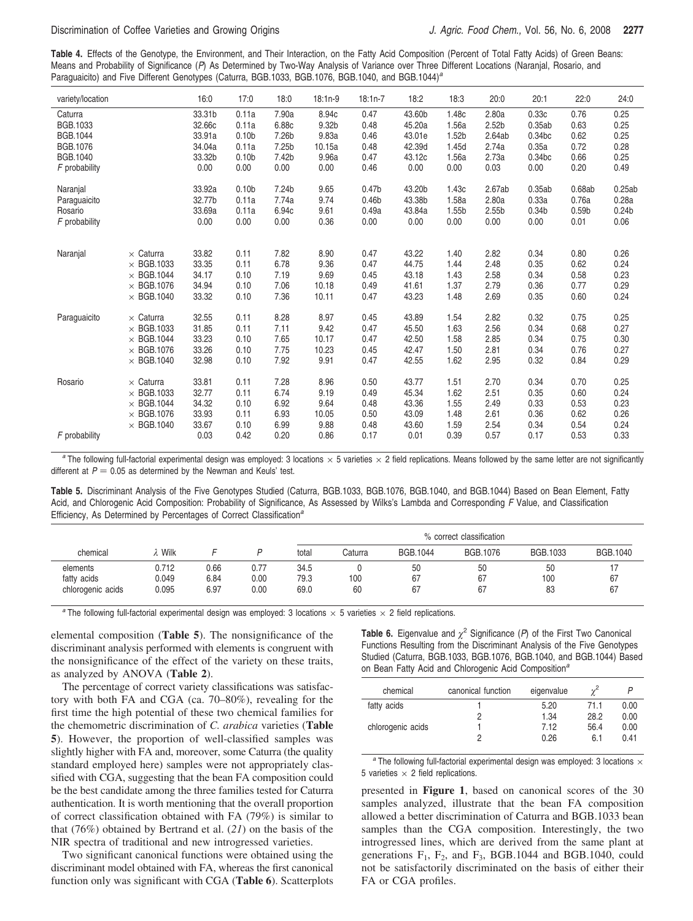Discrimination of Coffee Varieties and Growing Origins *J. Agric. Food Chem.,* Vol. 56, No. 6, 2008 **2277**

**Table 4.** Effects of the Genotype, the Environment, and Their Interaction, on the Fatty Acid Composition (Percent of Total Fatty Acids) of Green Beans: Means and Probability of Significance (*P*) As Determined by Two-Way Analysis of Variance over Three Different Locations (Naranjal, Rosario, and Paraguaicito) and Five Different Genotypes (Caturra, BGB.1033, BGB.1076, BGB.1040, and BGB.1044)*<sup>a</sup>*

| variety/location         |                                                                                                      | 16:0                                              | 17:0                                         | 18:0                                         | $18:1n-9$                                     | $18:1n-7$                                    | 18:2                                              | 18:3                                         | 20:0                                         | 20:1                                         | 22:0                                         | 24:0                                         |
|--------------------------|------------------------------------------------------------------------------------------------------|---------------------------------------------------|----------------------------------------------|----------------------------------------------|-----------------------------------------------|----------------------------------------------|---------------------------------------------------|----------------------------------------------|----------------------------------------------|----------------------------------------------|----------------------------------------------|----------------------------------------------|
| Caturra                  |                                                                                                      | 33.31b                                            | 0.11a                                        | 7.90a                                        | 8.94c                                         | 0.47                                         | 43.60b                                            | 1.48c                                        | 2.80a                                        | 0.33c                                        | 0.76                                         | 0.25                                         |
| BGB.1033                 |                                                                                                      | 32.66c                                            | 0.11a                                        | 6.88c                                        | 9.32b                                         | 0.48                                         | 45.20a                                            | 1.56a                                        | 2.52 <sub>b</sub>                            | 0.35ab                                       | 0.63                                         | 0.25                                         |
| <b>BGB.1044</b>          |                                                                                                      | 33.91a                                            | 0.10 <sub>b</sub>                            | 7.26b                                        | 9.83a                                         | 0.46                                         | 43.01e                                            | 1.52b                                        | 2.64ab                                       | 0.34 <sub>bc</sub>                           | 0.62                                         | 0.25                                         |
| <b>BGB.1076</b>          |                                                                                                      | 34.04a                                            | 0.11a                                        | 7.25b                                        | 10.15a                                        | 0.48                                         | 42.39d                                            | 1.45d                                        | 2.74a                                        | 0.35a                                        | 0.72                                         | 0.28                                         |
| <b>BGB.1040</b>          |                                                                                                      | 33.32b                                            | 0.10 <sub>b</sub>                            | 7.42b                                        | 9.96a                                         | 0.47                                         | 43.12c                                            | 1.56a                                        | 2.73a                                        | 0.34 <sub>bc</sub>                           | 0.66                                         | 0.25                                         |
| $F$ probability          |                                                                                                      | 0.00                                              | 0.00                                         | 0.00                                         | 0.00                                          | 0.46                                         | 0.00                                              | 0.00                                         | 0.03                                         | 0.00                                         | 0.20                                         | 0.49                                         |
| Naranjal                 |                                                                                                      | 33.92a                                            | 0.10 <sub>b</sub>                            | 7.24b                                        | 9.65                                          | 0.47 <sub>b</sub>                            | 43.20b                                            | 1.43c                                        | 2.67ab                                       | 0.35ab                                       | 0.68ab                                       | 0.25ab                                       |
| Paraguaicito             |                                                                                                      | 32.77b                                            | 0.11a                                        | 7.74a                                        | 9.74                                          | 0.46 <sub>b</sub>                            | 43.38b                                            | 1.58a                                        | 2.80a                                        | 0.33a                                        | 0.76a                                        | 0.28a                                        |
| Rosario                  |                                                                                                      | 33.69a                                            | 0.11a                                        | 6.94c                                        | 9.61                                          | 0.49a                                        | 43.84a                                            | 1.55b                                        | 2.55 <sub>b</sub>                            | 0.34 <sub>b</sub>                            | 0.59 <sub>b</sub>                            | 0.24 <sub>b</sub>                            |
| $F$ probability          |                                                                                                      | 0.00                                              | 0.00                                         | 0.00                                         | 0.36                                          | 0.00                                         | 0.00                                              | 0.00                                         | 0.00                                         | 0.00                                         | 0.01                                         | 0.06                                         |
| Naranjal                 | $\times$ Caturra                                                                                     | 33.82                                             | 0.11                                         | 7.82                                         | 8.90                                          | 0.47                                         | 43.22                                             | 1.40                                         | 2.82                                         | 0.34                                         | 0.80                                         | 0.26                                         |
|                          | $\times$ BGB.1033                                                                                    | 33.35                                             | 0.11                                         | 6.78                                         | 9.36                                          | 0.47                                         | 44.75                                             | 1.44                                         | 2.48                                         | 0.35                                         | 0.62                                         | 0.24                                         |
|                          | $\times$ BGB.1044                                                                                    | 34.17                                             | 0.10                                         | 7.19                                         | 9.69                                          | 0.45                                         | 43.18                                             | 1.43                                         | 2.58                                         | 0.34                                         | 0.58                                         | 0.23                                         |
|                          | $\times$ BGB.1076                                                                                    | 34.94                                             | 0.10                                         | 7.06                                         | 10.18                                         | 0.49                                         | 41.61                                             | 1.37                                         | 2.79                                         | 0.36                                         | 0.77                                         | 0.29                                         |
|                          | $\times$ BGB.1040                                                                                    | 33.32                                             | 0.10                                         | 7.36                                         | 10.11                                         | 0.47                                         | 43.23                                             | 1.48                                         | 2.69                                         | 0.35                                         | 0.60                                         | 0.24                                         |
| Paraguaicito             | $\times$ Caturra                                                                                     | 32.55                                             | 0.11                                         | 8.28                                         | 8.97                                          | 0.45                                         | 43.89                                             | 1.54                                         | 2.82                                         | 0.32                                         | 0.75                                         | 0.25                                         |
|                          | $\times$ BGB.1033                                                                                    | 31.85                                             | 0.11                                         | 7.11                                         | 9.42                                          | 0.47                                         | 45.50                                             | 1.63                                         | 2.56                                         | 0.34                                         | 0.68                                         | 0.27                                         |
|                          | $\times$ BGB.1044                                                                                    | 33.23                                             | 0.10                                         | 7.65                                         | 10.17                                         | 0.47                                         | 42.50                                             | 1.58                                         | 2.85                                         | 0.34                                         | 0.75                                         | 0.30                                         |
|                          | $\times$ BGB.1076                                                                                    | 33.26                                             | 0.10                                         | 7.75                                         | 10.23                                         | 0.45                                         | 42.47                                             | 1.50                                         | 2.81                                         | 0.34                                         | 0.76                                         | 0.27                                         |
|                          | $\times$ BGB.1040                                                                                    | 32.98                                             | 0.10                                         | 7.92                                         | 9.91                                          | 0.47                                         | 42.55                                             | 1.62                                         | 2.95                                         | 0.32                                         | 0.84                                         | 0.29                                         |
| Rosario<br>F probability | $\times$ Caturra<br>$\times$ BGB.1033<br>$\times$ BGB.1044<br>$\times$ BGB.1076<br>$\times$ BGB.1040 | 33.81<br>32.77<br>34.32<br>33.93<br>33.67<br>0.03 | 0.11<br>0.11<br>0.10<br>0.11<br>0.10<br>0.42 | 7.28<br>6.74<br>6.92<br>6.93<br>6.99<br>0.20 | 8.96<br>9.19<br>9.64<br>10.05<br>9.88<br>0.86 | 0.50<br>0.49<br>0.48<br>0.50<br>0.48<br>0.17 | 43.77<br>45.34<br>43.36<br>43.09<br>43.60<br>0.01 | 1.51<br>1.62<br>1.55<br>1.48<br>1.59<br>0.39 | 2.70<br>2.51<br>2.49<br>2.61<br>2.54<br>0.57 | 0.34<br>0.35<br>0.33<br>0.36<br>0.34<br>0.17 | 0.70<br>0.60<br>0.53<br>0.62<br>0.54<br>0.53 | 0.25<br>0.24<br>0.23<br>0.26<br>0.24<br>0.33 |

a The following full-factorial experimental design was employed: 3 locations × 5 varieties × 2 field replications. Means followed by the same letter are not significantly different at  $P = 0.05$  as determined by the Newman and Keuls' test.

**Table 5.** Discriminant Analysis of the Five Genotypes Studied (Caturra, BGB.1033, BGB.1076, BGB.1040, and BGB.1044) Based on Bean Element, Fatty Acid, and Chlorogenic Acid Composition: Probability of Significance, As Assessed by Wilks's Lambda and Corresponding *F* Value, and Classification Efficiency, As Determined by Percentages of Correct Classification*<sup>a</sup>*

|                   |        |      |      | % correct classification |         |          |                 |          |          |  |
|-------------------|--------|------|------|--------------------------|---------|----------|-----------------|----------|----------|--|
| chemical          | i Wilk |      |      | total                    | Caturra | BGB.1044 | <b>BGB.1076</b> | BGB.1033 | BGB.1040 |  |
| elements          | 0.712  | 0.66 | 0.77 | 34.5                     |         | 50       | 50              | 50       |          |  |
| fatty acids       | 0.049  | 6.84 | 0.00 | 79.3                     | 100     | 67       | 67              | 100      | 67       |  |
| chlorogenic acids | 0.095  | 6.97 | 0.00 | 69.0                     | 60      | 67       | 67              | 83       | 67       |  |

*a* The following full-factorial experimental design was employed: 3 locations  $\times$  5 varieties  $\times$  2 field replications.

elemental composition (**Table 5**). The nonsignificance of the discriminant analysis performed with elements is congruent with the nonsignificance of the effect of the variety on these traits, as analyzed by ANOVA (**Table 2**).

The percentage of correct variety classifications was satisfactory with both FA and CGA (ca. 70–80%), revealing for the first time the high potential of these two chemical families for the chemometric discrimination of *C. arabica* varieties (**Table 5**). However, the proportion of well-classified samples was slightly higher with FA and, moreover, some Caturra (the quality standard employed here) samples were not appropriately classified with CGA, suggesting that the bean FA composition could be the best candidate among the three families tested for Caturra authentication. It is worth mentioning that the overall proportion of correct classification obtained with FA (79%) is similar to that (76%) obtained by Bertrand et al. (*21*) on the basis of the NIR spectra of traditional and new introgressed varieties.

Two significant canonical functions were obtained using the discriminant model obtained with FA, whereas the first canonical function only was significant with CGA (**Table 6**). Scatterplots

**Table 6.** Eigenvalue and  $\chi^2$  Significance (P) of the First Two Canonical Functions Resulting from the Discriminant Analysis of the Five Genotypes Studied (Caturra, BGB.1033, BGB.1076, BGB.1040, and BGB.1044) Based on Bean Fatty Acid and Chlorogenic Acid Composition*<sup>a</sup>*

| chemical          | canonical function | eigenvalue | $\gamma^2$ |      |
|-------------------|--------------------|------------|------------|------|
| fatty acids       |                    | 5.20       | 71.1       | 0.00 |
|                   |                    | 1.34       | 28.2       | 0.00 |
| chlorogenic acids |                    | 7.12       | 56.4       | 0.00 |
|                   |                    | 0.26       | 6.1        | 0.41 |

<sup>a</sup> The following full-factorial experimental design was employed: 3 locations  $\times$ 5 varieties  $\times$  2 field replications.

presented in **Figure 1**, based on canonical scores of the 30 samples analyzed, illustrate that the bean FA composition allowed a better discrimination of Caturra and BGB.1033 bean samples than the CGA composition. Interestingly, the two introgressed lines, which are derived from the same plant at generations  $F_1$ ,  $F_2$ , and  $F_3$ , BGB.1044 and BGB.1040, could not be satisfactorily discriminated on the basis of either their FA or CGA profiles.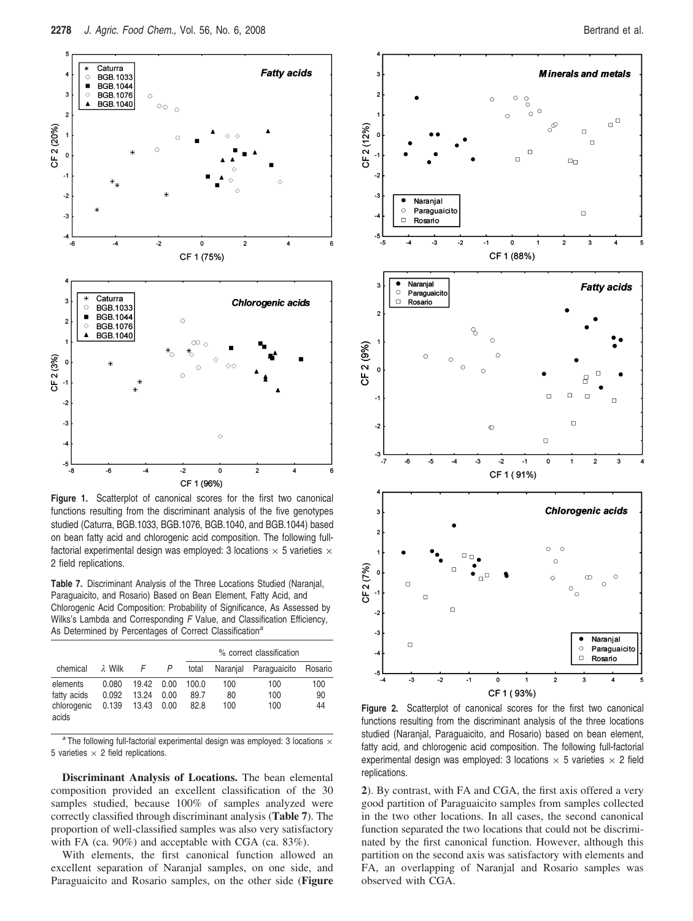

**Figure 1.** Scatterplot of canonical scores for the first two canonical functions resulting from the discriminant analysis of the five genotypes studied (Caturra, BGB.1033, BGB.1076, BGB.1040, and BGB.1044) based on bean fatty acid and chlorogenic acid composition. The following fullfactorial experimental design was employed: 3 locations  $\times$  5 varieties  $\times$ 2 field replications.

**Table 7.** Discriminant Analysis of the Three Locations Studied (Naranjal, Paraguaicito, and Rosario) Based on Bean Element, Fatty Acid, and Chlorogenic Acid Composition: Probability of Significance, As Assessed by Wilks's Lambda and Corresponding *F* Value, and Classification Efficiency, As Determined by Percentages of Correct Classification*<sup>a</sup>*

|                                                 |                         |                         |                      | % correct classification |                  |                   |                 |  |  |
|-------------------------------------------------|-------------------------|-------------------------|----------------------|--------------------------|------------------|-------------------|-----------------|--|--|
| chemical                                        | λ Wilk                  | F                       | P                    | total                    | Naranjal         | Paraguaicito      | Rosario         |  |  |
| elements<br>fatty acids<br>chlorogenic<br>acids | 0.080<br>0.092<br>0.139 | 19.42<br>13.24<br>13.43 | 0.00<br>0.00<br>0.00 | 100.0<br>89.7<br>82.8    | 100<br>80<br>100 | 100<br>100<br>100 | 100<br>90<br>44 |  |  |

 $^a$  The following full-factorial experimental design was employed: 3 locations  $\times$ 5 varieties  $\times$  2 field replications.

**Discriminant Analysis of Locations.** The bean elemental composition provided an excellent classification of the 30 samples studied, because 100% of samples analyzed were correctly classified through discriminant analysis (**Table 7**). The proportion of well-classified samples was also very satisfactory with FA (ca. 90%) and acceptable with CGA (ca. 83%).

With elements, the first canonical function allowed an excellent separation of Naranjal samples, on one side, and Paraguaicito and Rosario samples, on the other side (**Figure**



**Figure 2.** Scatterplot of canonical scores for the first two canonical functions resulting from the discriminant analysis of the three locations studied (Naranjal, Paraguaicito, and Rosario) based on bean element, fatty acid, and chlorogenic acid composition. The following full-factorial experimental design was employed: 3 locations  $\times$  5 varieties  $\times$  2 field replications.

**2**). By contrast, with FA and CGA, the first axis offered a very good partition of Paraguaicito samples from samples collected in the two other locations. In all cases, the second canonical function separated the two locations that could not be discriminated by the first canonical function. However, although this partition on the second axis was satisfactory with elements and FA, an overlapping of Naranjal and Rosario samples was observed with CGA.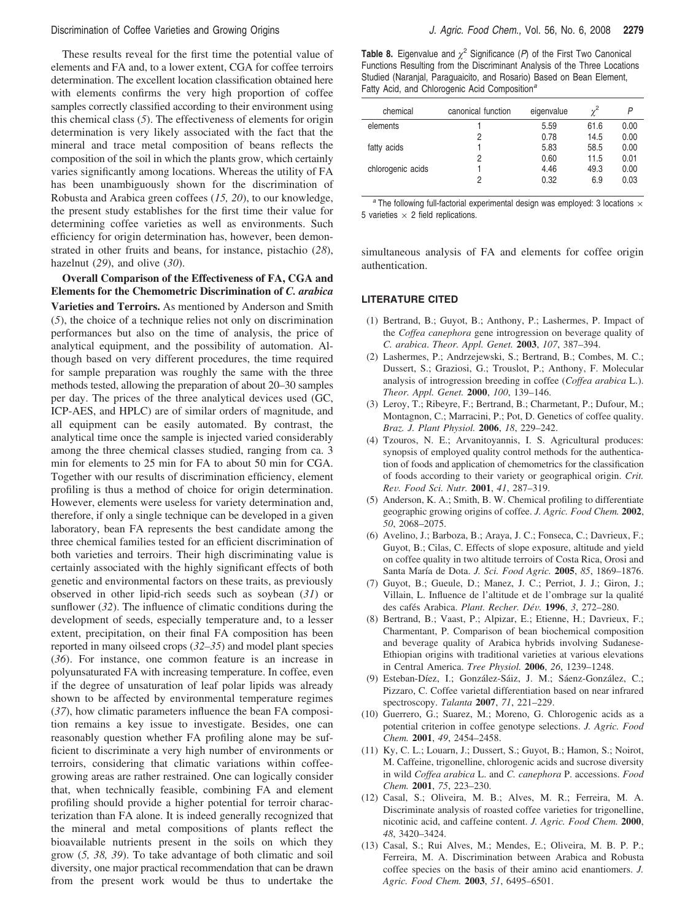### Discrimination of Coffee Varieties and Growing Origins *J. Agric. Food Chem.,* Vol. 56, No. 6, 2008 **2279**

These results reveal for the first time the potential value of elements and FA and, to a lower extent, CGA for coffee terroirs determination. The excellent location classification obtained here with elements confirms the very high proportion of coffee samples correctly classified according to their environment using this chemical class (*5*). The effectiveness of elements for origin determination is very likely associated with the fact that the mineral and trace metal composition of beans reflects the composition of the soil in which the plants grow, which certainly varies significantly among locations. Whereas the utility of FA has been unambiguously shown for the discrimination of Robusta and Arabica green coffees (*15, 20*), to our knowledge, the present study establishes for the first time their value for determining coffee varieties as well as environments. Such efficiency for origin determination has, however, been demonstrated in other fruits and beans, for instance, pistachio (*28*), hazelnut (*29*), and olive (*30*).

**Overall Comparison of the Effectiveness of FA, CGA and Elements for the Chemometric Discrimination of** *C. arabica* **Varieties and Terroirs.** As mentioned by Anderson and Smith (*5*), the choice of a technique relies not only on discrimination performances but also on the time of analysis, the price of analytical equipment, and the possibility of automation. Although based on very different procedures, the time required for sample preparation was roughly the same with the three methods tested, allowing the preparation of about 20–30 samples per day. The prices of the three analytical devices used (GC, ICP-AES, and HPLC) are of similar orders of magnitude, and all equipment can be easily automated. By contrast, the analytical time once the sample is injected varied considerably among the three chemical classes studied, ranging from ca. 3 min for elements to 25 min for FA to about 50 min for CGA. Together with our results of discrimination efficiency, element profiling is thus a method of choice for origin determination. However, elements were useless for variety determination and, therefore, if only a single technique can be developed in a given laboratory, bean FA represents the best candidate among the three chemical families tested for an efficient discrimination of both varieties and terroirs. Their high discriminating value is certainly associated with the highly significant effects of both genetic and environmental factors on these traits, as previously observed in other lipid-rich seeds such as soybean (*31*) or sunflower (32). The influence of climatic conditions during the development of seeds, especially temperature and, to a lesser extent, precipitation, on their final FA composition has been reported in many oilseed crops (*32–35*) and model plant species (*36*). For instance, one common feature is an increase in polyunsaturated FA with increasing temperature. In coffee, even if the degree of unsaturation of leaf polar lipids was already shown to be affected by environmental temperature regimes (*37*), how climatic parameters influence the bean FA composition remains a key issue to investigate. Besides, one can reasonably question whether FA profiling alone may be sufficient to discriminate a very high number of environments or terroirs, considering that climatic variations within coffeegrowing areas are rather restrained. One can logically consider that, when technically feasible, combining FA and element profiling should provide a higher potential for terroir characterization than FA alone. It is indeed generally recognized that the mineral and metal compositions of plants reflect the bioavailable nutrients present in the soils on which they grow (*5, 38, 39*). To take advantage of both climatic and soil diversity, one major practical recommendation that can be drawn from the present work would be thus to undertake the

**Table 8.** Eigenvalue and  $\chi^2$  Significance (P) of the First Two Canonical Functions Resulting from the Discriminant Analysis of the Three Locations Studied (Naranjal, Paraguaicito, and Rosario) Based on Bean Element, Fatty Acid, and Chlorogenic Acid Composition*<sup>a</sup>*

| chemical          | canonical function | eigenvalue | $\gamma^2$ |      |
|-------------------|--------------------|------------|------------|------|
| elements          |                    | 5.59       | 61.6       | 0.00 |
|                   | 2                  | 0.78       | 14.5       | 0.00 |
| fatty acids       |                    | 5.83       | 58.5       | 0.00 |
|                   | 2                  | 0.60       | 11.5       | 0.01 |
| chlorogenic acids |                    | 4.46       | 49.3       | 0.00 |
|                   | 2                  | 0.32       | 6.9        | 0.03 |

*a* The following full-factorial experimental design was employed: 3 locations  $\times$ 5 varieties  $\times$  2 field replications.

simultaneous analysis of FA and elements for coffee origin authentication.

### **LITERATURE CITED**

- (1) Bertrand, B.; Guyot, B.; Anthony, P.; Lashermes, P. Impact of the *Coffea canephora* gene introgression on beverage quality of *C. arabica*. *Theor. Appl. Genet.* **2003**, *107*, 387–394.
- (2) Lashermes, P.; Andrzejewski, S.; Bertrand, B.; Combes, M. C.; Dussert, S.; Graziosi, G.; Trouslot, P.; Anthony, F. Molecular analysis of introgression breeding in coffee (*Coffea arabica* L.). *Theor. Appl. Genet.* **2000**, *100*, 139–146.
- (3) Leroy, T.; Ribeyre, F.; Bertrand, B.; Charmetant, P.; Dufour, M.; Montagnon, C.; Marracini, P.; Pot, D. Genetics of coffee quality. *Braz. J. Plant Physiol.* **2006**, *18*, 229–242.
- (4) Tzouros, N. E.; Arvanitoyannis, I. S. Agricultural produces: synopsis of employed quality control methods for the authentication of foods and application of chemometrics for the classification of foods according to their variety or geographical origin. *Crit. Re*V*. Food Sci. Nutr.* **<sup>2001</sup>**, *<sup>41</sup>*, 287–319.
- (5) Anderson, K. A.; Smith, B. W. Chemical profiling to differentiate geographic growing origins of coffee. *J. Agric. Food Chem.* **2002**, *50*, 2068–2075.
- (6) Avelino, J.; Barboza, B.; Araya, J. C.; Fonseca, C.; Davrieux, F.; Guyot, B.; Cilas, C. Effects of slope exposure, altitude and yield on coffee quality in two altitude terroirs of Costa Rica, Orosi and Santa María de Dota. *J. Sci. Food Agric.* **2005**, *85*, 1869–1876.
- (7) Guyot, B.; Gueule, D.; Manez, J. C.; Perriot, J. J.; Giron, J.; Villain, L. Influence de l'altitude et de l'ombrage sur la qualité des cafés Arabica. *Plant. Recher. Dé*V*.* **<sup>1996</sup>**, *<sup>3</sup>*, 272–280.
- (8) Bertrand, B.; Vaast, P.; Alpizar, E.; Etienne, H.; Davrieux, F.; Charmentant, P. Comparison of bean biochemical composition and beverage quality of Arabica hybrids involving Sudanese-Ethiopian origins with traditional varieties at various elevations in Central America. *Tree Physiol.* **2006**, *26*, 1239–1248.
- (9) Esteban-Díez, I.; González-Sáiz, J. M.; Sáenz-González, C.; Pizzaro, C. Coffee varietal differentiation based on near infrared spectroscopy. *Talanta* **2007**, *71*, 221–229.
- (10) Guerrero, G.; Suarez, M.; Moreno, G. Chlorogenic acids as a potential criterion in coffee genotype selections. *J. Agric. Food Chem.* **2001**, *49*, 2454–2458.
- (11) Ky, C. L.; Louarn, J.; Dussert, S.; Guyot, B.; Hamon, S.; Noirot, M. Caffeine, trigonelline, chlorogenic acids and sucrose diversity in wild *Coffea arabica* L. and *C. canephora* P. accessions. *Food Chem.* **2001**, *75*, 223–230.
- (12) Casal, S.; Oliveira, M. B.; Alves, M. R.; Ferreira, M. A. Discriminate analysis of roasted coffee varieties for trigonelline, nicotinic acid, and caffeine content. *J. Agric. Food Chem.* **2000**, *48*, 3420–3424.
- (13) Casal, S.; Rui Alves, M.; Mendes, E.; Oliveira, M. B. P. P.; Ferreira, M. A. Discrimination between Arabica and Robusta coffee species on the basis of their amino acid enantiomers. *J. Agric. Food Chem.* **2003**, *51*, 6495–6501.